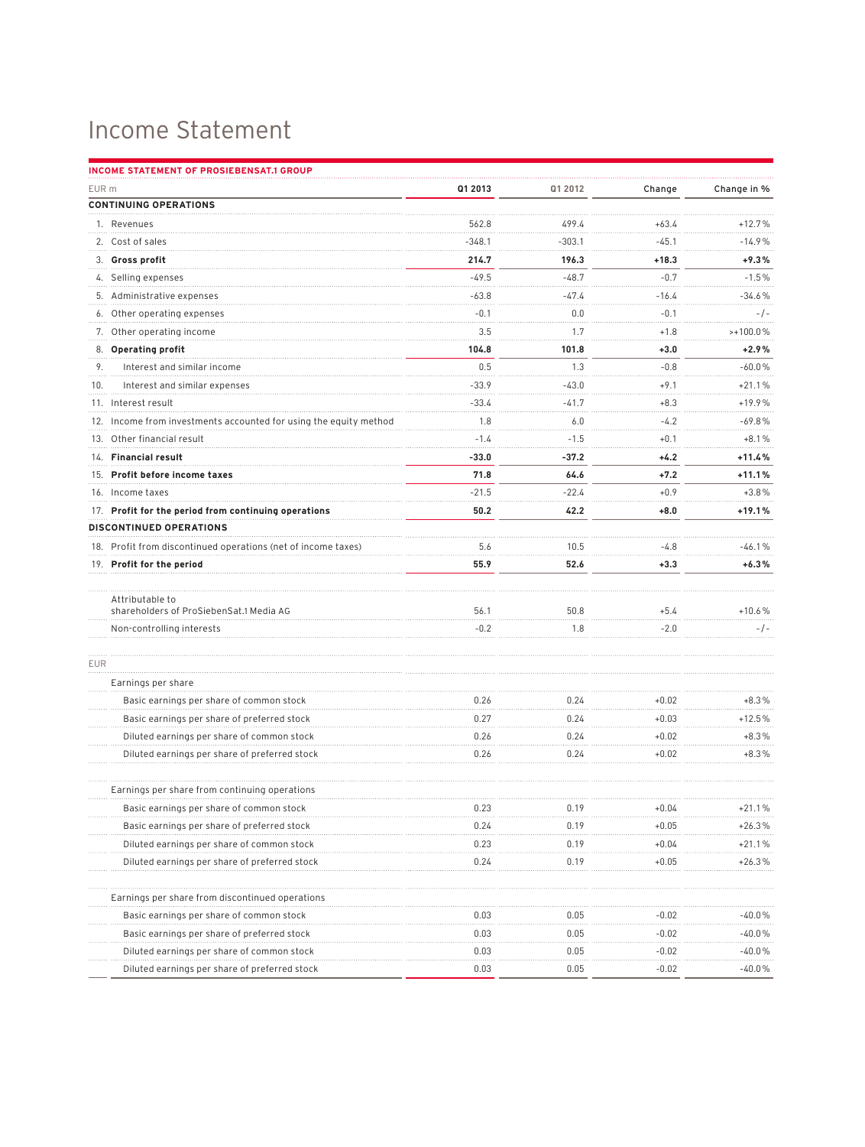## Income Statement

|            | INCOME STATEMENT OF PROSIEBENSAT.1 GROUP                          |          |          |         |             |
|------------|-------------------------------------------------------------------|----------|----------|---------|-------------|
| EUR m      |                                                                   | Q1 2013  | Q1 2012  | Change  | Change in % |
|            | <b>CONTINUING OPERATIONS</b>                                      |          |          |         |             |
|            | 1. Revenues                                                       | 562.8    | 499.4    | $+63.4$ | $+12.7%$    |
|            | 2. Cost of sales                                                  | $-348.1$ | $-303.1$ | $-45.1$ | $-14.9%$    |
|            | 3. Gross profit                                                   | 214.7    | 196.3    | $+18.3$ | $+9.3%$     |
|            | 4. Selling expenses                                               | $-49.5$  | $-48.7$  | $-0.7$  | $-1.5%$     |
|            | 5. Administrative expenses                                        | $-63.8$  | $-47.4$  | $-16.4$ | $-34.6%$    |
|            | 6. Other operating expenses                                       | $-0.1$   | 0.0      | $-0.1$  | $-/-$       |
|            | 7. Other operating income                                         | 3.5      | 1.7      | $+1.8$  | $>+100.0%$  |
|            | 8. Operating profit                                               | 104.8    | 101.8    | $+3.0$  | $+2.9%$     |
| 9.         | Interest and similar income                                       | 0.5      | 1.3      | $-0.8$  | $-60.0%$    |
| 10.        | Interest and similar expenses                                     | $-33.9$  | $-43.0$  | $+9.1$  | $+21.1%$    |
|            | 11. Interest result                                               | $-33.4$  | $-41.7$  | $+8.3$  | $+19.9%$    |
|            | 12. Income from investments accounted for using the equity method | 1.8      | 6.0      | $-4.2$  | $-69.8%$    |
|            | 13. Other financial result                                        | $-1.4$   | $-1.5$   | $+0.1$  | $+8.1%$     |
|            | 14. Financial result                                              | $-33.0$  | $-37.2$  | $+4.2$  | +11.4%      |
|            | 15. Profit before income taxes                                    | 71.8     | 64.6     | $+7.2$  | $+11.1%$    |
|            | 16. Income taxes                                                  | $-21.5$  | $-22.4$  | $+0.9$  | $+3.8%$     |
|            | 17. Profit for the period from continuing operations              | 50.2     | 42.2     | $+8.0$  | $+19.1%$    |
|            | DISCONTINUED OPERATIONS                                           |          |          |         |             |
|            | 18. Profit from discontinued operations (net of income taxes)     | 5.6      | 10.5     | $-4.8$  | $-46.1%$    |
|            | 19. Profit for the period                                         | 55.9     | 52.6     | $+3.3$  | $+6.3%$     |
|            | Attributable to                                                   |          |          |         |             |
|            | shareholders of ProSiebenSat.1 Media AG                           | 56.1     | 50.8     | $+5.4$  | $+10.6%$    |
|            | Non-controlling interests                                         | $-0.2$   | 1.8      | $-2.0$  | $-/-$       |
| <b>EUR</b> |                                                                   |          |          |         |             |
|            | Earnings per share                                                |          |          |         |             |
|            | Basic earnings per share of common stock                          | 0.26     | 0.24     | $+0.02$ | $+8.3%$     |
|            | Basic earnings per share of preferred stock                       | 0.27     | 0.24     | $+0.03$ | $+12.5%$    |
|            | Diluted earnings per share of common stock                        | 0.26     | 0.24     | $+0.02$ | $+8.3%$     |
|            | Diluted earnings per share of preferred stock                     | 0.26     | 0.24     | $+0.02$ | $+8.3%$     |
|            | Earnings per share from continuing operations                     |          |          |         |             |
|            | Basic earnings per share of common stock                          | 0.23     | 0.19     | $+0.04$ | $+21.1%$    |
|            | Basic earnings per share of preferred stock                       | 0.24     | 0.19     | $+0.05$ | $+26.3%$    |
|            | Diluted earnings per share of common stock                        | 0.23     | 0.19     | $+0.04$ | $+21.1%$    |
|            | Diluted earnings per share of preferred stock                     | 0.24     | 0.19     | $+0.05$ | $+26.3%$    |
|            | Earnings per share from discontinued operations                   |          |          |         |             |
|            | Basic earnings per share of common stock                          | 0.03     | 0.05     | -0.02   | -40.0%      |
|            | Basic earnings per share of preferred stock                       | 0.03     | 0.05     | $-0.02$ | -40.0%      |
|            | Diluted earnings per share of common stock                        | 0.03     | 0.05     | $-0.02$ | $-40.0%$    |
|            | Diluted earnings per share of preferred stock                     | 0.03     | 0.05     | $-0.02$ | $-40.0%$    |